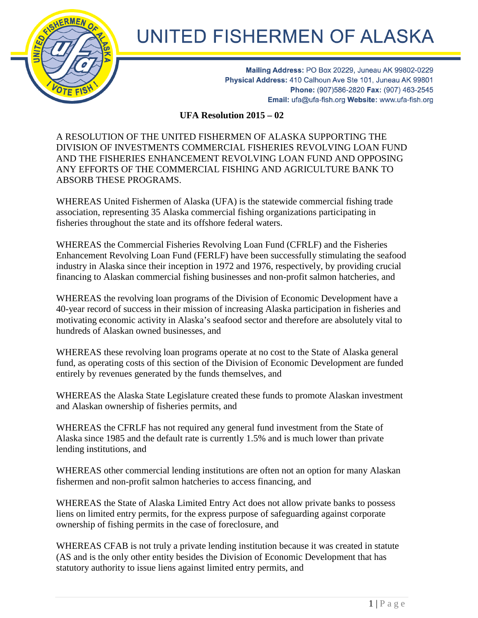

## UNITED FISHERMEN OF ALASKA

Mailing Address: PO Box 20229, Juneau AK 99802-0229 Physical Address: 410 Calhoun Ave Ste 101, Juneau AK 99801 Phone: (907)586-2820 Fax: (907) 463-2545 Email: ufa@ufa-fish.org Website: www.ufa-fish.org

**UFA Resolution 2015 – 02**

A RESOLUTION OF THE UNITED FISHERMEN OF ALASKA SUPPORTING THE DIVISION OF INVESTMENTS COMMERCIAL FISHERIES REVOLVING LOAN FUND AND THE FISHERIES ENHANCEMENT REVOLVING LOAN FUND AND OPPOSING ANY EFFORTS OF THE COMMERCIAL FISHING AND AGRICULTURE BANK TO ABSORB THESE PROGRAMS.

WHEREAS United Fishermen of Alaska (UFA) is the statewide commercial fishing trade association, representing 35 Alaska commercial fishing organizations participating in fisheries throughout the state and its offshore federal waters.

WHEREAS the Commercial Fisheries Revolving Loan Fund (CFRLF) and the Fisheries Enhancement Revolving Loan Fund (FERLF) have been successfully stimulating the seafood industry in Alaska since their inception in 1972 and 1976, respectively, by providing crucial financing to Alaskan commercial fishing businesses and non-profit salmon hatcheries, and

WHEREAS the revolving loan programs of the Division of Economic Development have a 40-year record of success in their mission of increasing Alaska participation in fisheries and motivating economic activity in Alaska's seafood sector and therefore are absolutely vital to hundreds of Alaskan owned businesses, and

WHEREAS these revolving loan programs operate at no cost to the State of Alaska general fund, as operating costs of this section of the Division of Economic Development are funded entirely by revenues generated by the funds themselves, and

WHEREAS the Alaska State Legislature created these funds to promote Alaskan investment and Alaskan ownership of fisheries permits, and

WHEREAS the CFRLF has not required any general fund investment from the State of Alaska since 1985 and the default rate is currently 1.5% and is much lower than private lending institutions, and

WHEREAS other commercial lending institutions are often not an option for many Alaskan fishermen and non-profit salmon hatcheries to access financing, and

WHEREAS the State of Alaska Limited Entry Act does not allow private banks to possess liens on limited entry permits, for the express purpose of safeguarding against corporate ownership of fishing permits in the case of foreclosure, and

WHEREAS CFAB is not truly a private lending institution because it was created in statute (AS and is the only other entity besides the Division of Economic Development that has statutory authority to issue liens against limited entry permits, and